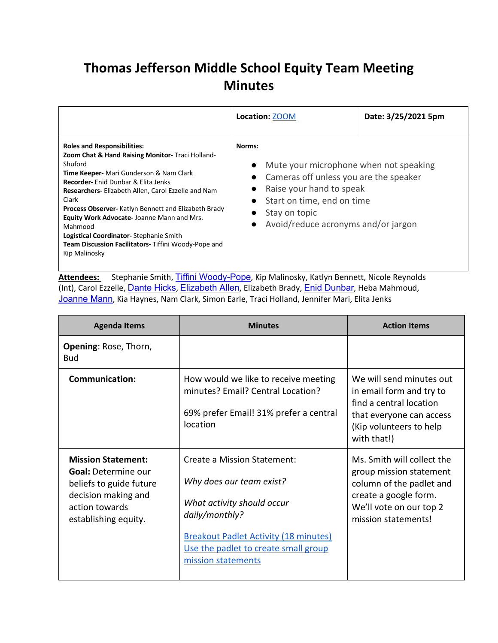## **Thomas Jefferson Middle School Equity Team Meeting Minutes**

|                                                                                                                                                                                                                                                                                                                                                                                                                                                                                                                    | Location: <b>ZOOM</b>                                                                                                                                                                                                                                                         | Date: 3/25/2021 5pm |
|--------------------------------------------------------------------------------------------------------------------------------------------------------------------------------------------------------------------------------------------------------------------------------------------------------------------------------------------------------------------------------------------------------------------------------------------------------------------------------------------------------------------|-------------------------------------------------------------------------------------------------------------------------------------------------------------------------------------------------------------------------------------------------------------------------------|---------------------|
| <b>Roles and Responsibilities:</b><br>Zoom Chat & Hand Raising Monitor- Traci Holland-<br>Shuford<br><b>Time Keeper-</b> Mari Gunderson & Nam Clark<br><b>Recorder-</b> Enid Dunbar & Elita Jenks<br>Researchers- Elizabeth Allen, Carol Ezzelle and Nam<br>Clark<br><b>Process Observer-</b> Katlyn Bennett and Elizabeth Brady<br><b>Equity Work Advocate-Joanne Mann and Mrs.</b><br>Mahmood<br>Logistical Coordinator-Stephanie Smith<br>Team Discussion Facilitators- Tiffini Woody-Pope and<br>Kip Malinosky | Norms:<br>Mute your microphone when not speaking<br>$\bullet$<br>Cameras off unless you are the speaker<br>$\bullet$<br>Raise your hand to speak<br>$\bullet$<br>Start on time, end on time<br>$\bullet$<br>Stay on topic<br>Avoid/reduce acronyms and/or jargon<br>$\bullet$ |                     |

Attendees: Stephanie Smith, Tiffini Woody-Pope, Kip Malinosky, Katlyn Bennett, Nicole Reynolds (Int), Carol Ezzelle, *Dante Hicks, Elizabeth Allen*, Elizabeth Brady, *Enid Dunbar*, Heba Mahmoud, Joanne Mann, Kia Haynes, Nam Clark, Simon Earle, Traci Holland, Jennifer Mari, Elita Jenks

| <b>Agenda Items</b>                                                                                                                                 | <b>Minutes</b>                                                                                                                                                                                                        | <b>Action Items</b>                                                                                                                                          |
|-----------------------------------------------------------------------------------------------------------------------------------------------------|-----------------------------------------------------------------------------------------------------------------------------------------------------------------------------------------------------------------------|--------------------------------------------------------------------------------------------------------------------------------------------------------------|
| <b>Opening: Rose, Thorn,</b><br><b>Bud</b>                                                                                                          |                                                                                                                                                                                                                       |                                                                                                                                                              |
| <b>Communication:</b>                                                                                                                               | How would we like to receive meeting<br>minutes? Email? Central Location?<br>69% prefer Email! 31% prefer a central<br>location                                                                                       | We will send minutes out<br>in email form and try to<br>find a central location<br>that everyone can access<br>(Kip volunteers to help<br>with that!)        |
| <b>Mission Statement:</b><br><b>Goal: Determine our</b><br>beliefs to guide future<br>decision making and<br>action towards<br>establishing equity. | Create a Mission Statement:<br>Why does our team exist?<br>What activity should occur<br>daily/monthly?<br><b>Breakout Padlet Activity (18 minutes)</b><br>Use the padlet to create small group<br>mission statements | Ms. Smith will collect the<br>group mission statement<br>column of the padlet and<br>create a google form.<br>We'll vote on our top 2<br>mission statements! |